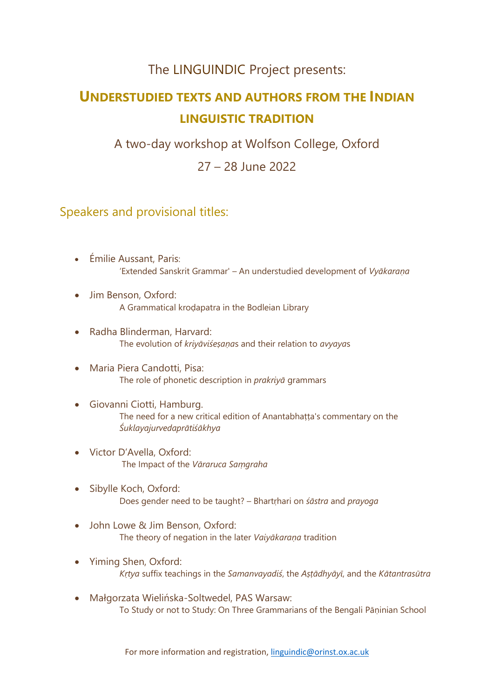### The LINGUINDIC Project presents:

# **UNDERSTUDIED TEXTS AND AUTHORS FROM THE INDIAN LINGUISTIC TRADITION**

A two-day workshop at Wolfson College, Oxford

27 – 28 June 2022

### Speakers and provisional titles:

- Émilie Aussant, Paris: 'Extended Sanskrit Grammar' – An understudied development of *Vyākaraṇa*
- Jim Benson, Oxford: A Grammatical kroḍapatra in the Bodleian Library
- Radha Blinderman, Harvard: The evolution of *kriyāviśeṣaṇa*s and their relation to *avyaya*s
- Maria Piera Candotti, Pisa: The role of phonetic description in *prakriyā* grammars
- Giovanni Ciotti, Hamburg. The need for a new critical edition of Anantabhaṭṭa's commentary on the *Śuklayajurvedaprātiśākhya*
- Victor D'Avella, Oxford: The Impact of the *Vāraruca Saṃgraha*
- Sibylle Koch, Oxford: Does gender need to be taught? – Bhartṛhari on *śāstra* and *prayoga*
- John Lowe & Jim Benson, Oxford: The theory of negation in the later *Vaiyākaraṇa* tradition
- Yiming Shen, Oxford: *Kṛtya* suffix teachings in the *Samanvayadiś*, the *Aṣṭādhyāyī*, and the *Kātantrasūtra*
- Małgorzata Wielińska-Soltwedel, PAS Warsaw: To Study or not to Study: On Three Grammarians of the Bengali Pāṇinian School

For more information and registration, [linguindic@orinst.ox.ac.uk](mailto:linguindic@orinst.ox.ac.uk)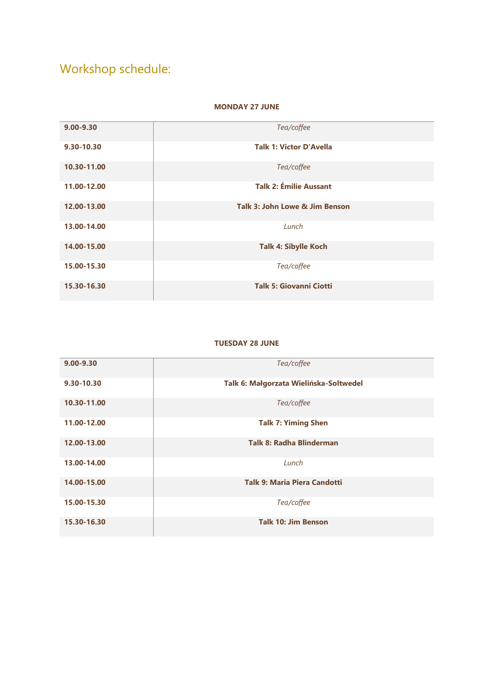## Workshop schedule:

#### **MONDAY 27 JUNE**

| $9.00 - 9.30$ | Tea/coffee                     |
|---------------|--------------------------------|
| 9.30-10.30    | <b>Talk 1: Victor D'Avella</b> |
| 10.30-11.00   | Tea/coffee                     |
| 11.00-12.00   | <b>Talk 2: Émilie Aussant</b>  |
| 12.00-13.00   | Talk 3: John Lowe & Jim Benson |
| 13.00-14.00   | Lunch                          |
| 14.00-15.00   | <b>Talk 4: Sibylle Koch</b>    |
| 15.00-15.30   | Tea/coffee                     |
| 15.30-16.30   | <b>Talk 5: Giovanni Ciotti</b> |

#### **TUESDAY 28 JUNE**

| $9.00 - 9.30$ | Tea/coffee                             |
|---------------|----------------------------------------|
| 9.30-10.30    | Talk 6: Małgorzata Wielińska-Soltwedel |
| 10.30-11.00   | Tea/coffee                             |
| 11.00-12.00   | <b>Talk 7: Yiming Shen</b>             |
| 12.00-13.00   | <b>Talk 8: Radha Blinderman</b>        |
| 13.00-14.00   | Lunch                                  |
| 14.00-15.00   | <b>Talk 9: Maria Piera Candotti</b>    |
| 15.00-15.30   | Tea/coffee                             |
| 15.30-16.30   | <b>Talk 10: Jim Benson</b>             |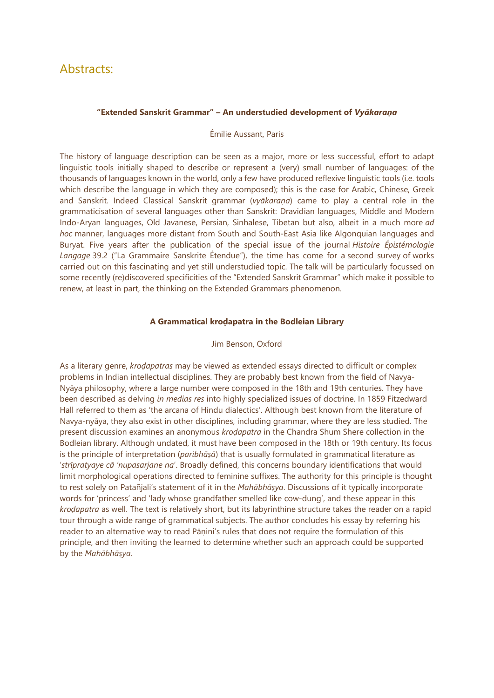### Abstracts:

#### **"Extended Sanskrit Grammar" – An understudied development of** *Vyākaraṇa*

#### Émilie Aussant, Paris

The history of language description can be seen as a major, more or less successful, effort to adapt linguistic tools initially shaped to describe or represent a (very) small number of languages: of the thousands of languages known in the world, only a few have produced reflexive linguistic tools (i.e. tools which describe the language in which they are composed); this is the case for Arabic, Chinese, Greek and Sanskrit. Indeed Classical Sanskrit grammar (*vyākaraṇa*) came to play a central role in the grammaticisation of several languages other than Sanskrit: Dravidian languages, Middle and Modern Indo-Aryan languages, Old Javanese, Persian, Sinhalese, Tibetan but also, albeit in a much more *ad hoc* manner, languages more distant from South and South-East Asia like Algonquian languages and Buryat. Five years after the publication of the special issue of the journal *Histoire Épistémologie Langage* 39.2 ("La Grammaire Sanskrite Étendue"), the time has come for a second survey of works carried out on this fascinating and yet still understudied topic. The talk will be particularly focussed on some recently (re)discovered specificities of the "Extended Sanskrit Grammar" which make it possible to renew, at least in part, the thinking on the Extended Grammars phenomenon.

#### **A Grammatical kroḍapatra in the Bodleian Library**

#### Jim Benson, Oxford

As a literary genre, *kroḍapatras* may be viewed as extended essays directed to difficult or complex problems in Indian intellectual disciplines. They are probably best known from the field of Navya-Nyāya philosophy, where a large number were composed in the 18th and 19th centuries. They have been described as delving *in medias res* into highly specialized issues of doctrine. In 1859 Fitzedward Hall referred to them as 'the arcana of Hindu dialectics'. Although best known from the literature of Navya-nyāya, they also exist in other disciplines, including grammar, where they are less studied. The present discussion examines an anonymous *kroḍapatra* in the Chandra Shum Shere collection in the Bodleian library. Although undated, it must have been composed in the 18th or 19th century. Its focus is the principle of interpretation (*paribhāṣā*) that is usually formulated in grammatical literature as '*strīpratyaye cā 'nupasarjane na*'. Broadly defined, this concerns boundary identifications that would limit morphological operations directed to feminine suffixes. The authority for this principle is thought to rest solely on Patañjali's statement of it in the *Mahābhāṣya*. Discussions of it typically incorporate words for 'princess' and 'lady whose grandfather smelled like cow-dung', and these appear in this *kroḍapatra* as well. The text is relatively short, but its labyrinthine structure takes the reader on a rapid tour through a wide range of grammatical subjects. The author concludes his essay by referring his reader to an alternative way to read Pāṇini's rules that does not require the formulation of this principle, and then inviting the learned to determine whether such an approach could be supported by the *Mahābhāṣya*.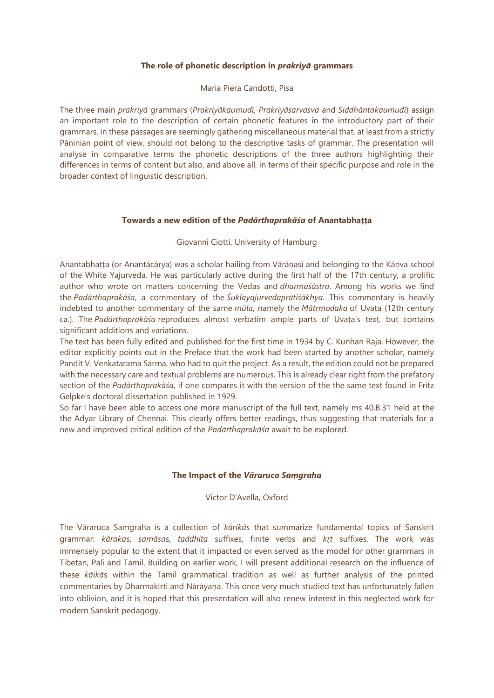#### **The role of phonetic description in** *prakriyā* **grammars**

#### Maria Piera Candotti, Pisa

The three main *prakriyā* grammars (*Prakriyākaumudī*, *Prakriyāsarvasva* and *Siddhāntakaumudī*) assign an important role to the description of certain phonetic features in the introductory part of their grammars. In these passages are seemingly gathering miscellaneous material that, at least from a strictly Pāninian point of view, should not belong to the descriptive tasks of grammar. The presentation will analyse in comparative terms the phonetic descriptions of the three authors highlighting their differences in terms of content but also, and above all, in terms of their specific purpose and role in the broader context of linguistic description.

#### **Towards a new edition of the** *Padārthaprakāśa* **of Anantabhaṭṭa**

#### Giovanni Ciotti, University of Hamburg

Anantabhaṭṭa (or Anantācārya) was a scholar hailing from Vārāṇasī and belonging to the Kāṇva school of the White Yajurveda. He was particularly active during the first half of the 17th century, a prolific author who wrote on matters concerning the Vedas and *dharmaśāstra*. Among his works we find the *Padārthaprakāśa*, a commentary of the *Śuklayajurvedaprātiśākhya*. This commentary is heavily indebted to another commentary of the same *mūla*, namely the *Mātṛmodaka* of Uvaṭa (12th century ca.). The *Padārthaprakāśa* reproduces almost verbatim ample parts of Uvaṭa's text, but contains significant additions and variations.

The text has been fully edited and published for the first time in 1934 by C. Kunhan Raja. However, the editor explicitly points out in the Preface that the work had been started by another scholar, namely Pandit V. Venkatarama Sarma, who had to quit the project. As a result, the edition could not be prepared with the necessary care and textual problems are numerous. This is already clear right from the prefatory section of the *Padārthaprakāśa*, if one compares it with the version of the the same text found in Fritz Gelpke's doctoral dissertation published in 1929.

So far I have been able to access one more manuscript of the full text, namely ms 40.B.31 held at the the Adyar Library of Chennai. This clearly offers better readings, thus suggesting that materials for a new and improved critical edition of the *Padārthaprakāśa* await to be explored.

#### **The Impact of the** *Vāraruca Saṃgraha*

Victor D'Avella, Oxford

The Vāraruca Saṃgraha is a collection of *kārikā*s that summarize fundamental topics of Sanskrit grammar: *kāraka*s, *samāsa*s, *taddhita* suffixes, finite verbs and *kṛt* suffixes. The work was immensely popular to the extent that it impacted or even served as the model for other grammars in Tibetan, Pali and Tamil. Building on earlier work, I will present additional research on the influence of these *kāikā*s within the Tamil grammatical tradition as well as further analysis of the printed commentaries by Dharmakīrti and Nārāyaṇa. This once very much studied text has unfortunately fallen into oblivion, and it is hoped that this presentation will also renew interest in this neglected work for modern Sanskrit pedagogy.